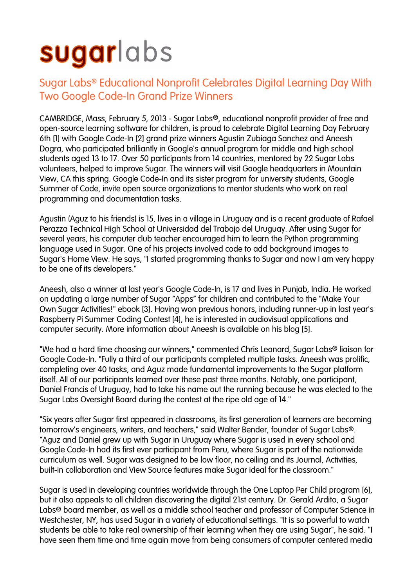## sugarlabs

## Sugar Labs® Educational Nonprofit Celebrates Digital Learning Day With Two Google Code-In Grand Prize Winners

CAMBRIDGE, Mass, February 5, 2013 - Sugar Labs®, educational nonprofit provider of free and open-source learning software for children, is proud to celebrate Digital Learning Day February 6th [1] with Google Code-In [2] grand prize winners Agustin Zubiaga Sanchez and Aneesh Dogra, who participated brilliantly in Google's annual program for middle and high school students aged 13 to 17. Over 50 participants from 14 countries, mentored by 22 Sugar Labs volunteers, helped to improve Sugar. The winners will visit Google headquarters in Mountain View, CA this spring. Google Code-In and its sister program for university students, Google Summer of Code, invite open source organizations to mentor students who work on real programming and documentation tasks.

Agustin (Aguz to his friends) is 15, lives in a village in Uruguay and is a recent graduate of Rafael Perazza Technical High School at Universidad del Trabajo del Uruguay. After using Sugar for several years, his computer club teacher encouraged him to learn the Python programming language used in Sugar. One of his projects involved code to add background images to Sugar's Home View. He says, "I started programming thanks to Sugar and now I am very happy to be one of its developers."

Aneesh, also a winner at last year's Google Code-In, is 17 and lives in Punjab, India. He worked on updating a large number of Sugar "Apps" for children and contributed to the "Make Your Own Sugar Activities!" ebook [3]. Having won previous honors, including runner-up in last year's Raspberry Pi Summer Coding Contest [4], he is interested in audiovisual applications and computer security. More information about Aneesh is available on his blog [5].

"We had a hard time choosing our winners," commented Chris Leonard, Sugar Labs® liaison for Google Code-In. "Fully a third of our participants completed multiple tasks. Aneesh was prolific, completing over 40 tasks, and Aguz made fundamental improvements to the Sugar platform itself. All of our participants learned over these past three months. Notably, one participant, Daniel Francis of Uruguay, had to take his name out the running because he was elected to the Sugar Labs Oversight Board during the contest at the ripe old age of 14."

"Six years after Sugar first appeared in classrooms, its first generation of learners are becoming tomorrow's engineers, writers, and teachers," said Walter Bender, founder of Sugar Labs®. "Aguz and Daniel grew up with Sugar in Uruguay where Sugar is used in every school and Google Code-In had its first ever participant from Peru, where Sugar is part of the nationwide curriculum as well. Sugar was designed to be low floor, no ceiling and its Journal, Activities, built-in collaboration and View Source features make Sugar ideal for the classroom."

Sugar is used in developing countries worldwide through the One Laptop Per Child program [6], but it also appeals to all children discovering the digital 21st century. Dr. Gerald Ardito, a Sugar Labs® board member, as well as a middle school teacher and professor of Computer Science in Westchester, NY, has used Sugar in a variety of educational settings. "It is so powerful to watch students be able to take real ownership of their learning when they are using Sugar", he said. "I have seen them time and time again move from being consumers of computer centered media